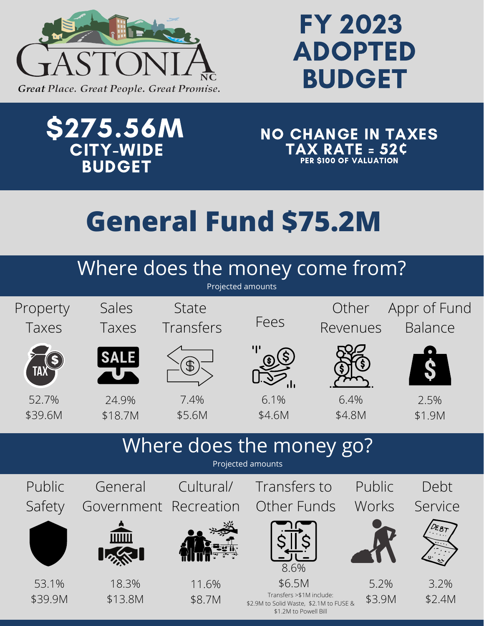

## FY 2023 ADOPTED BUDGET

## \$275.56M CITY-WIDE **BUDGET**

NO CHANGE IN TAXES TAX RATE = 52**¢** PER \$100 OF VALUATION

## **General Fund \$75.2M**